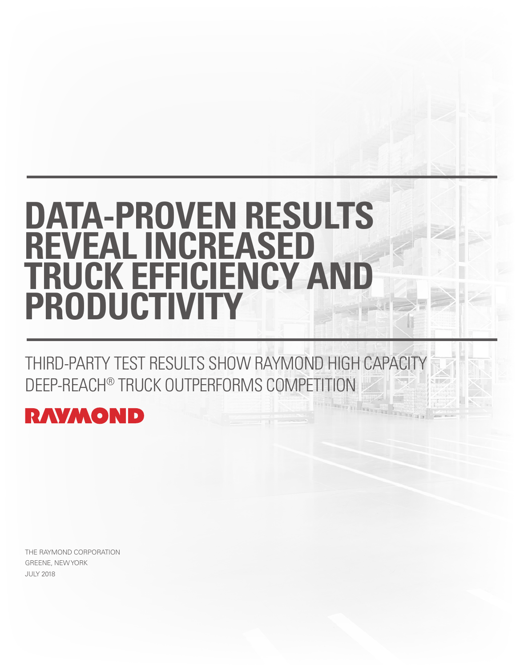# **DATA-PROVEN RESULTS REVEAL INCREASED TRUCK EFFICIENCY AND PRODUCTIVITY**

THIRD-PARTY TEST RESULTS SHOW RAYMOND HIGH CAPACIT DEEP-REACH® TRUCK OUTPERFORMS COMPETITION



THE RAYMOND CORPORATION GREENE, NEW YORK JULY 2018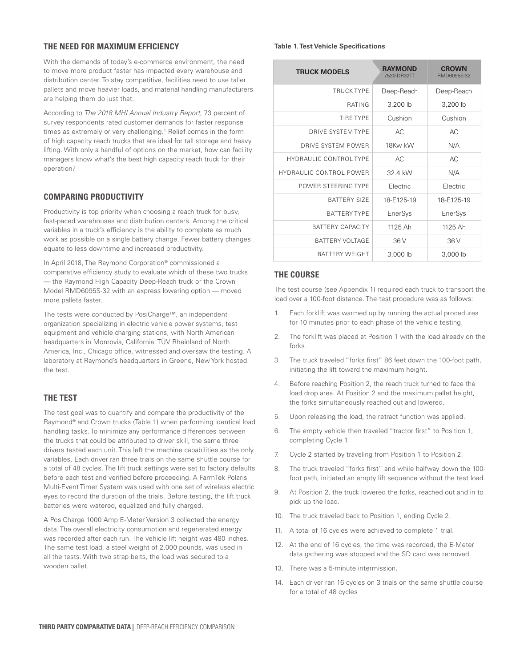# **THE NEED FOR MAXIMUM EFFICIENCY**

With the demands of today's e-commerce environment, the need to move more product faster has impacted every warehouse and distribution center. To stay competitive, facilities need to use taller pallets and move heavier loads, and material handling manufacturers are helping them do just that.

According to *The 2018 MHI Annual Industry Report*, 73 percent of survey respondents rated customer demands for faster response times as extremely or very challenging.<sup>1</sup> Relief comes in the form of high capacity reach trucks that are ideal for tall storage and heavy lifting. With only a handful of options on the market, how can facility managers know what's the best high capacity reach truck for their operation?

# **COMPARING PRODUCTIVITY**

Productivity is top priority when choosing a reach truck for busy, fast-paced warehouses and distribution centers. Among the critical variables in a truck's efficiency is the ability to complete as much work as possible on a single battery change. Fewer battery changes equate to less downtime and increased productivity.

In April 2018, The Raymond Corporation® commissioned a comparative efficiency study to evaluate which of these two trucks — the Raymond High Capacity Deep-Reach truck or the Crown Model RMD6095S-32 with an express lowering option — moved more pallets faster.

The tests were conducted by PosiCharge™, an independent organization specializing in electric vehicle power systems, test equipment and vehicle charging stations, with North American headquarters in Monrovia, California. TÜV Rheinland of North America, Inc., Chicago office, witnessed and oversaw the testing. A laboratory at Raymond's headquarters in Greene, New York hosted the test.

# **THE TEST**

The test goal was to quantify and compare the productivity of the Raymond® and Crown trucks (Table 1) when performing identical load handling tasks. To minimize any performance differences between the trucks that could be attributed to driver skill, the same three drivers tested each unit. This left the machine capabilities as the only variables. Each driver ran three trials on the same shuttle course for a total of 48 cycles. The lift truck settings were set to factory defaults before each test and verified before proceeding. A FarmTek Polaris Multi-Event Timer System was used with one set of wireless electric eyes to record the duration of the trials. Before testing, the lift truck batteries were watered, equalized and fully charged.

A PosiCharge 1000 Amp E-Meter Version 3 collected the energy data. The overall electricity consumption and regenerated energy was recorded after each run. The vehicle lift height was 480 inches. The same test load, a steel weight of 2,000 pounds, was used in all the tests. With two strap belts, the load was secured to a wooden pallet.

#### **Table 1. Test Vehicle Specifications**

| <b>TRUCK MODELS</b>            | <b>RAYMOND</b><br>7530-DR32TT | <b>CROWN</b><br>RMD6095S-32 |
|--------------------------------|-------------------------------|-----------------------------|
| TRUCK TYPE                     | Deep-Reach                    | Deep-Reach                  |
| RATING                         | 3,200 lb                      | 3,200 lb                    |
| <b>TIRE TYPE</b>               | Cushion                       | Cushion                     |
| DRIVE SYSTEM TYPE              | AC                            | AC                          |
| DRIVE SYSTEM POWER             | 18Kw kW                       | N/A                         |
| HYDRAULIC CONTROL TYPE         | AC                            | AC                          |
| <b>HYDRAULIC CONTROL POWER</b> | 32 4 kW                       | N/A                         |
| POWER STEERING TYPE            | <b>Flectric</b>               | <b>Flectric</b>             |
| <b>BATTERY SIZE</b>            | 18-F125-19                    | 18-E125-19                  |
| <b>BATTERY TYPE</b>            | EnerSys                       | EnerSys                     |
| <b>BATTERY CAPACITY</b>        | 1125 Ah                       | 1125 Ah                     |
| BATTERY VOLTAGE                | 36 V                          | 36 V                        |
| <b>BATTERY WEIGHT</b>          | 3,000 lb                      | 3,000 lb                    |

### **THE COURSE**

The test course (see Appendix 1) required each truck to transport the load over a 100-foot distance. The test procedure was as follows:

- Each forklift was warmed up by running the actual procedures for 10 minutes prior to each phase of the vehicle testing.
- 2. The forklift was placed at Position 1 with the load already on the forks.
- 3. The truck traveled "forks first" 86 feet down the 100-foot path, initiating the lift toward the maximum height.
- 4. Before reaching Position 2, the reach truck turned to face the load drop area. At Position 2 and the maximum pallet height, the forks simultaneously reached out and lowered.
- 5. Upon releasing the load, the retract function was applied.
- 6. The empty vehicle then traveled "tractor first" to Position 1, completing Cycle 1.
- 7. Cycle 2 started by traveling from Position 1 to Position 2.
- 8. The truck traveled "forks first" and while halfway down the 100 foot path, initiated an empty lift sequence without the test load.
- 9. At Position 2, the truck lowered the forks, reached out and in to pick up the load.
- 10. The truck traveled back to Position 1, ending Cycle 2.
- 11. A total of 16 cycles were achieved to complete 1 trial.
- 12. At the end of 16 cycles, the time was recorded, the E-Meter data gathering was stopped and the SD card was removed.
- 13. There was a 5-minute intermission.
- 14. Each driver ran 16 cycles on 3 trials on the same shuttle course for a total of 48 cycles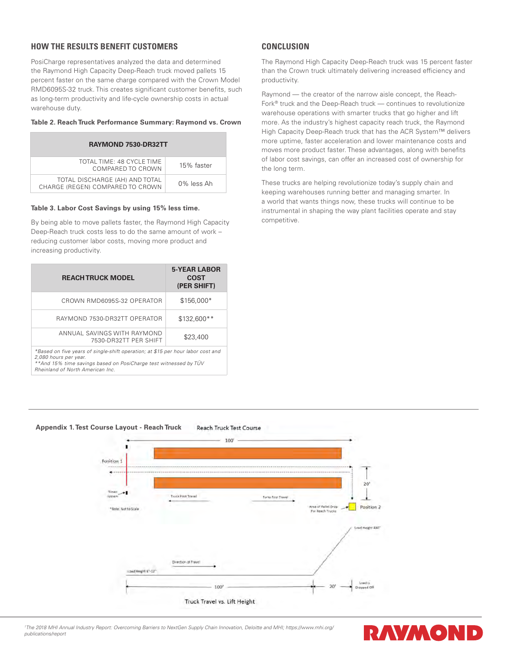# **HOW THE RESULTS BENEFIT CUSTOMERS**

PosiCharge representatives analyzed the data and determined the Raymond High Capacity Deep-Reach truck moved pallets 15 percent faster on the same charge compared with the Crown Model RMD6095S-32 truck. This creates significant customer benefits, such as long-term productivity and life-cycle ownership costs in actual warehouse duty.

#### **Table 2. Reach Truck Performance Summary: Raymond vs. Crown**

| RAYMOND 7530-DR32TT                                                |            |  |
|--------------------------------------------------------------------|------------|--|
| TOTAL TIME: 48 CYCLE TIME<br>COMPARED TO CROWN                     | 15% faster |  |
| TOTAL DISCHARGE (AH) AND TOTAL<br>CHARGE (REGEN) COMPARED TO CROWN | 0% less Ah |  |

#### **Table 3. Labor Cost Savings by using 15% less time.**

By being able to move pallets faster, the Raymond High Capacity Deep-Reach truck costs less to do the same amount of work – reducing customer labor costs, moving more product and increasing productivity.

| <b>REACHTRUCK MODEL</b>                                                                                                                                                      | <b>5-YEAR LABOR</b><br><b>COST</b><br>(PER SHIFT) |  |
|------------------------------------------------------------------------------------------------------------------------------------------------------------------------------|---------------------------------------------------|--|
| CROWN RMD6095S-32 OPERATOR                                                                                                                                                   | $$156.000*$                                       |  |
| RAYMOND 7530-DR32TT OPERATOR                                                                                                                                                 | \$132,600**                                       |  |
| ANNUAL SAVINGS WITH RAYMOND<br>7530-DR32TT PER SHIFT                                                                                                                         | \$23,400                                          |  |
| *Based on five years of single-shift operation; at \$15 per hour labor cost and<br>2,080 hours per year.<br>**And 15% time savings based on PosiCharge test witnessed by TÜV |                                                   |  |

*\*\*And 15% time savings based on PosiCharge test witnessed by TÜV Rheinland of North American Inc.*

# **CONCLUSION**

The Raymond High Capacity Deep-Reach truck was 15 percent faster than the Crown truck ultimately delivering increased efficiency and productivity.

Raymond — the creator of the narrow aisle concept, the Reach-Fork® truck and the Deep-Reach truck — continues to revolutionize warehouse operations with smarter trucks that go higher and lift more. As the industry's highest capacity reach truck, the Raymond High Capacity Deep-Reach truck that has the ACR System™ delivers more uptime, faster acceleration and lower maintenance costs and moves more product faster. These advantages, along with benefits of labor cost savings, can offer an increased cost of ownership for the long term.

These trucks are helping revolutionize today's supply chain and keeping warehouses running better and managing smarter. In a world that wants things now, these trucks will continue to be instrumental in shaping the way plant facilities operate and stay competitive.



#### *1 The 2018 MHI Annual Industry Report: Overcoming Barriers to NextGen Supply Chain Innovation, Deloitte and MHI; https://www.mhi.org/ publications/report*